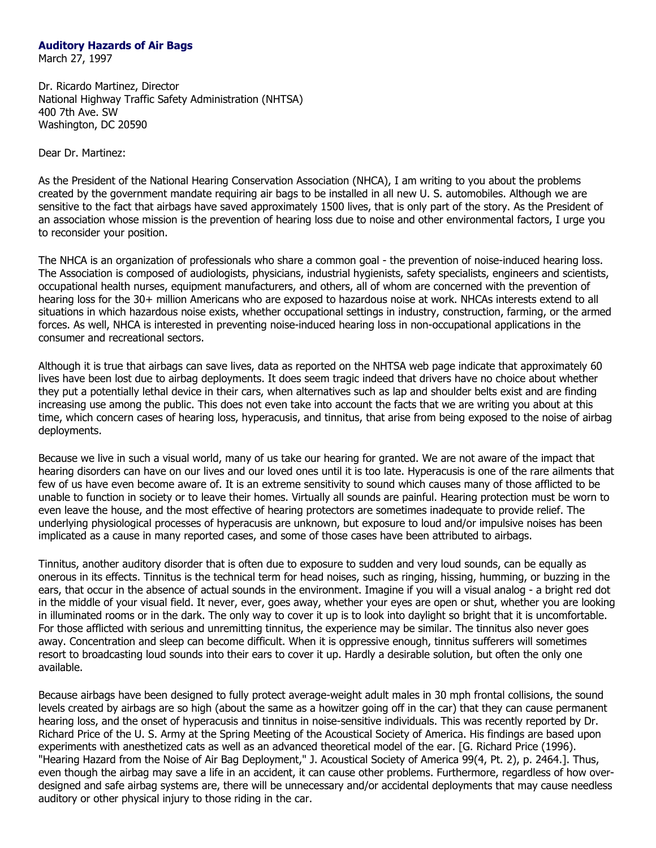## **Auditory Hazards of Air Bags**

March 27, 1997

Dr. Ricardo Martinez, Director National Highway Traffic Safety Administration (NHTSA) 400 7th Ave. SW Washington, DC 20590

Dear Dr. Martinez:

As the President of the National Hearing Conservation Association (NHCA), I am writing to you about the problems created by the government mandate requiring air bags to be installed in all new U. S. automobiles. Although we are sensitive to the fact that airbags have saved approximately 1500 lives, that is only part of the story. As the President of an association whose mission is the prevention of hearing loss due to noise and other environmental factors, I urge you to reconsider your position.

The NHCA is an organization of professionals who share a common goal - the prevention of noise-induced hearing loss. The Association is composed of audiologists, physicians, industrial hygienists, safety specialists, engineers and scientists, occupational health nurses, equipment manufacturers, and others, all of whom are concerned with the prevention of hearing loss for the 30+ million Americans who are exposed to hazardous noise at work. NHCAs interests extend to all situations in which hazardous noise exists, whether occupational settings in industry, construction, farming, or the armed forces. As well, NHCA is interested in preventing noise-induced hearing loss in non-occupational applications in the consumer and recreational sectors.

Although it is true that airbags can save lives, data as reported on the NHTSA web page indicate that approximately 60 lives have been lost due to airbag deployments. It does seem tragic indeed that drivers have no choice about whether they put a potentially lethal device in their cars, when alternatives such as lap and shoulder belts exist and are finding increasing use among the public. This does not even take into account the facts that we are writing you about at this time, which concern cases of hearing loss, hyperacusis, and tinnitus, that arise from being exposed to the noise of airbag deployments.

Because we live in such a visual world, many of us take our hearing for granted. We are not aware of the impact that hearing disorders can have on our lives and our loved ones until it is too late. Hyperacusis is one of the rare ailments that few of us have even become aware of. It is an extreme sensitivity to sound which causes many of those afflicted to be unable to function in society or to leave their homes. Virtually all sounds are painful. Hearing protection must be worn to even leave the house, and the most effective of hearing protectors are sometimes inadequate to provide relief. The underlying physiological processes of hyperacusis are unknown, but exposure to loud and/or impulsive noises has been implicated as a cause in many reported cases, and some of those cases have been attributed to airbags.

Tinnitus, another auditory disorder that is often due to exposure to sudden and very loud sounds, can be equally as onerous in its effects. Tinnitus is the technical term for head noises, such as ringing, hissing, humming, or buzzing in the ears, that occur in the absence of actual sounds in the environment. Imagine if you will a visual analog - a bright red dot in the middle of your visual field. It never, ever, goes away, whether your eyes are open or shut, whether you are looking in illuminated rooms or in the dark. The only way to cover it up is to look into daylight so bright that it is uncomfortable. For those afflicted with serious and unremitting tinnitus, the experience may be similar. The tinnitus also never goes away. Concentration and sleep can become difficult. When it is oppressive enough, tinnitus sufferers will sometimes resort to broadcasting loud sounds into their ears to cover it up. Hardly a desirable solution, but often the only one available.

Because airbags have been designed to fully protect average-weight adult males in 30 mph frontal collisions, the sound levels created by airbags are so high (about the same as a howitzer going off in the car) that they can cause permanent hearing loss, and the onset of hyperacusis and tinnitus in noise-sensitive individuals. This was recently reported by Dr. Richard Price of the U. S. Army at the Spring Meeting of the Acoustical Society of America. His findings are based upon experiments with anesthetized cats as well as an advanced theoretical model of the ear. [G. Richard Price (1996). "Hearing Hazard from the Noise of Air Bag Deployment," J. Acoustical Society of America 99(4, Pt. 2), p. 2464.]. Thus, even though the airbag may save a life in an accident, it can cause other problems. Furthermore, regardless of how overdesigned and safe airbag systems are, there will be unnecessary and/or accidental deployments that may cause needless auditory or other physical injury to those riding in the car.